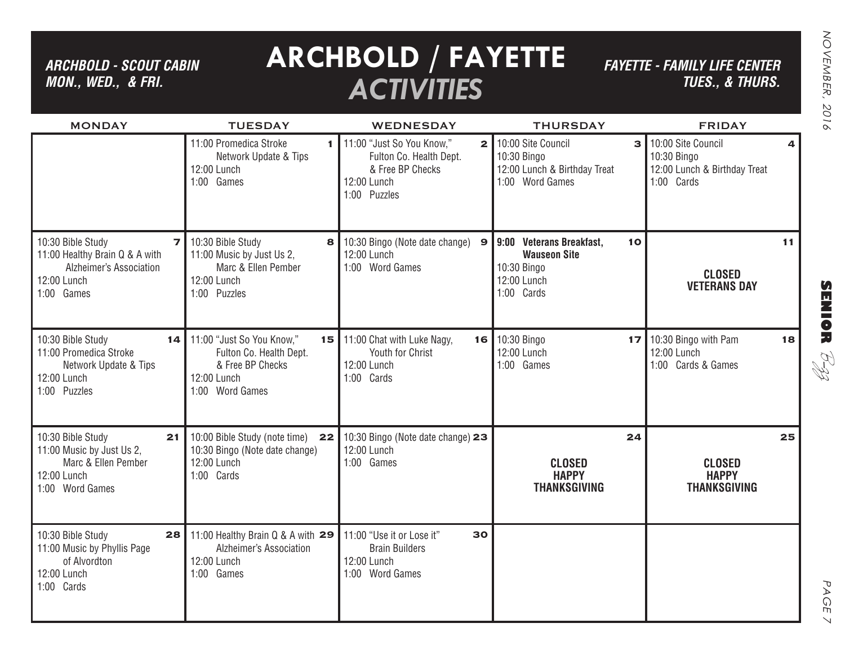*ARCHBOLD - SCOUT CABIN MON., WED., & FRI.*

# **ARCHBOLD / FAYETTE** *ACTIVITIES*

*FAYETTE - FAMILY LIFE CENTERTUES., & THURS.*

| <b>MONDAY</b>                                                                                                                 | <b>TUESDAY</b>                                                                                                         | <b>WEDNESDAY</b>                                                                                                        | <b>THURSDAY</b>                                                                                             | <b>FRIDAY</b>                                                                        |
|-------------------------------------------------------------------------------------------------------------------------------|------------------------------------------------------------------------------------------------------------------------|-------------------------------------------------------------------------------------------------------------------------|-------------------------------------------------------------------------------------------------------------|--------------------------------------------------------------------------------------|
|                                                                                                                               | 11:00 Promedica Stroke<br>1 I<br>Network Update & Tips<br>12:00 Lunch<br>1:00 Games                                    | 11:00 "Just So You Know,"<br>$\mathbf{2}$<br>Fulton Co. Health Dept.<br>& Free BP Checks<br>12:00 Lunch<br>1:00 Puzzles | 10:00 Site Council<br>10:30 Bingo<br>12:00 Lunch & Birthday Treat<br>1:00 Word Games                        | 10:00 Site Council<br>4<br>10:30 Bingo<br>12:00 Lunch & Birthday Treat<br>1:00 Cards |
| 10:30 Bible Study<br>$\overline{z}$<br>11:00 Healthy Brain Q & A with<br>Alzheimer's Association<br>12:00 Lunch<br>1:00 Games | 10:30 Bible Study<br>8 <sup>1</sup><br>11:00 Music by Just Us 2,<br>Marc & Ellen Pember<br>12:00 Lunch<br>1:00 Puzzles | 10:30 Bingo (Note date change) 9<br>12:00 Lunch<br>1:00 Word Games                                                      | <b>Veterans Breakfast,</b><br>9:00<br>10<br><b>Wauseon Site</b><br>10:30 Bingo<br>12:00 Lunch<br>1:00 Cards | 11<br><b>CLOSED</b><br><b>VETERANS DAY</b>                                           |
| 10:30 Bible Study<br>14 <sub>1</sub><br>11:00 Promedica Stroke<br>Network Update & Tips<br>12:00 Lunch<br>1:00 Puzzles        | 11:00 "Just So You Know,"<br>Fulton Co. Health Dept.<br>& Free BP Checks<br>12:00 Lunch<br>1:00 Word Games             | 15 11:00 Chat with Luke Nagy,<br>Youth for Christ<br>12:00 Lunch<br>1:00 Cards                                          | 16 10:30 Bingo<br>12:00 Lunch<br>1:00 Games                                                                 | <b>17</b> 10:30 Bingo with Pam<br>18<br>12:00 Lunch<br>1:00 Cards & Games            |
| 10:30 Bible Study<br>21<br>11:00 Music by Just Us 2,<br>Marc & Ellen Pember<br>12:00 Lunch<br>1:00 Word Games                 | 10:00 Bible Study (note time)<br>22<br>10:30 Bingo (Note date change)<br>12:00 Lunch<br>1:00 Cards                     | 10:30 Bingo (Note date change) 23<br>12:00 Lunch<br>1:00 Games                                                          | 24<br><b>CLOSED</b><br><b>HAPPY</b><br><b>THANKSGIVING</b>                                                  | 25<br><b>CLOSED</b><br><b>HAPPY</b><br><b>THANKSGIVING</b>                           |
| 10:30 Bible Study<br>28<br>11:00 Music by Phyllis Page<br>of Alvordton<br>12:00 Lunch<br>1:00 Cards                           | 11:00 Healthy Brain Q & A with 29<br>Alzheimer's Association<br>12:00 Lunch<br>1:00 Games                              | 11:00 "Use it or Lose it"<br>30<br><b>Brain Builders</b><br>12:00 Lunch<br>1:00 Word Games                              |                                                                                                             |                                                                                      |

**SENIOR** B-zz

> PAGE PAGE 7  $\vee$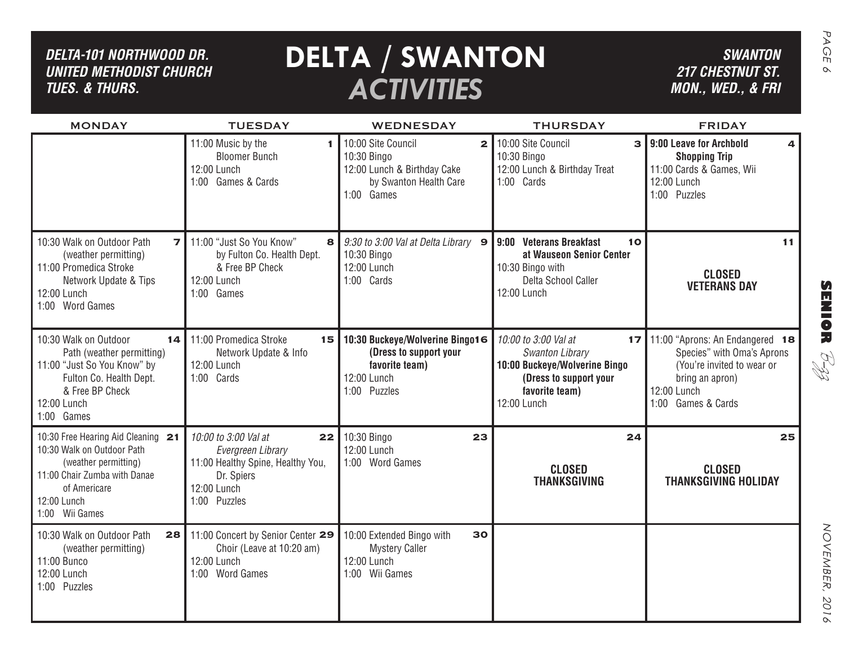| DELTA-101 NORTHWOOD DR.<br><b>UNITED METHODIST CHURCH</b><br><b>TUES. &amp; THURS.</b>                                                                                    |                                                                                                                                   | <b>DELTA / SWANTON</b><br><b>ACTIVITIES</b>                                                                                                  |                                                                                                                                           | <b>SWANTON</b><br><b>217 CHESTNUT ST.</b><br>MON., WED., & FRI                                                                                      |
|---------------------------------------------------------------------------------------------------------------------------------------------------------------------------|-----------------------------------------------------------------------------------------------------------------------------------|----------------------------------------------------------------------------------------------------------------------------------------------|-------------------------------------------------------------------------------------------------------------------------------------------|-----------------------------------------------------------------------------------------------------------------------------------------------------|
| <b>MONDAY</b>                                                                                                                                                             | <b>TUESDAY</b><br>11:00 Music by the<br><b>Bloomer Bunch</b><br>12:00 Lunch<br>1:00 Games & Cards                                 | <b>WEDNESDAY</b><br>10:00 Site Council<br>$\mathbf{2}$<br>10:30 Bingo<br>12:00 Lunch & Birthday Cake<br>by Swanton Health Care<br>1:00 Games | <b>THURSDAY</b><br>10:00 Site Council<br>3<br>10:30 Bingo<br>12:00 Lunch & Birthday Treat<br>1:00 Cards                                   | <b>FRIDAY</b><br>9:00 Leave for Archbold<br><b>Shopping Trip</b><br>11:00 Cards & Games, Wii<br>12:00 Lunch<br>1:00 Puzzles                         |
| 10:30 Walk on Outdoor Path<br>$\overline{\phantom{a}}$<br>(weather permitting)<br>11:00 Promedica Stroke<br>Network Update & Tips<br>12:00 Lunch<br>1:00 Word Games       | 11:00 "Just So You Know"<br>8<br>by Fulton Co. Health Dept.<br>& Free BP Check<br>12:00 Lunch<br>1:00 Games                       | 9:30 to 3:00 Val at Delta Library 9<br>10:30 Bingo<br>12:00 Lunch<br>1:00 Cards                                                              | 9:00 Veterans Breakfast<br>10<br>at Wauseon Senior Center<br>10:30 Bingo with<br>Delta School Caller<br>12:00 Lunch                       | 11<br><b>CLOSED</b><br><b>VETERANS DAY</b>                                                                                                          |
| 10:30 Walk on Outdoor<br>14<br>Path (weather permitting)<br>11:00 "Just So You Know" by<br>Fulton Co. Health Dept.<br>& Free BP Check<br>12:00 Lunch<br>1:00 Games        | 11:00 Promedica Stroke<br>15<br>Network Update & Info<br>12:00 Lunch<br>1:00 Cards                                                | 10:30 Buckeye/Wolverine Bingo16<br>(Dress to support your<br>favorite team)<br>12:00 Lunch<br>1:00 Puzzles                                   | 10:00 to 3:00 Val at<br>17<br>Swanton Library<br>10:00 Buckeye/Wolverine Bingo<br>(Dress to support your<br>favorite team)<br>12:00 Lunch | 11:00 "Aprons: An Endangered 18<br>Species" with Oma's Aprons<br>(You're invited to wear or<br>bring an apron)<br>12:00 Lunch<br>1:00 Games & Cards |
| 10:30 Free Hearing Aid Cleaning 21<br>10:30 Walk on Outdoor Path<br>(weather permitting)<br>11:00 Chair Zumba with Danae<br>of Americare<br>12:00 Lunch<br>1:00 Wii Games | 10:00 to 3:00 Val at<br>22<br>Evergreen Library<br>11:00 Healthy Spine, Healthy You,<br>Dr. Spiers<br>12:00 Lunch<br>1:00 Puzzles | 10:30 Bingo<br>23<br>12:00 Lunch<br>1:00 Word Games                                                                                          | 24<br><b>CLOSED</b><br><b>THANKSGIVING</b>                                                                                                | 25<br><b>CLOSED</b><br><b>THANKSGIVING HOLIDAY</b>                                                                                                  |
| 10:30 Walk on Outdoor Path<br>28<br>(weather permitting)<br>11:00 Bunco<br>12:00 Lunch<br>1:00 Puzzles                                                                    | 11:00 Concert by Senior Center 29<br>Choir (Leave at 10:20 am)<br>12:00 Lunch<br>1:00 Word Games                                  | 30<br>10:00 Extended Bingo with<br><b>Mystery Caller</b><br>12:00 Lunch<br>1:00 Wii Games                                                    |                                                                                                                                           |                                                                                                                                                     |